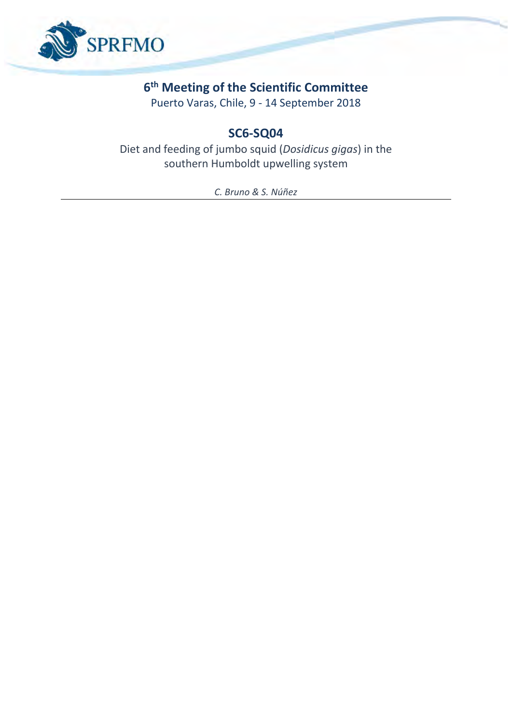

# **6 th Meeting of the Scientific Committee**

Puerto Varas, Chile, 9 - 14 September 2018

# **SC6-SQ04**

Diet and feeding of jumbo squid (*Dosidicus gigas*) in the southern Humboldt upwelling system

*C. Bruno & S. Núñez*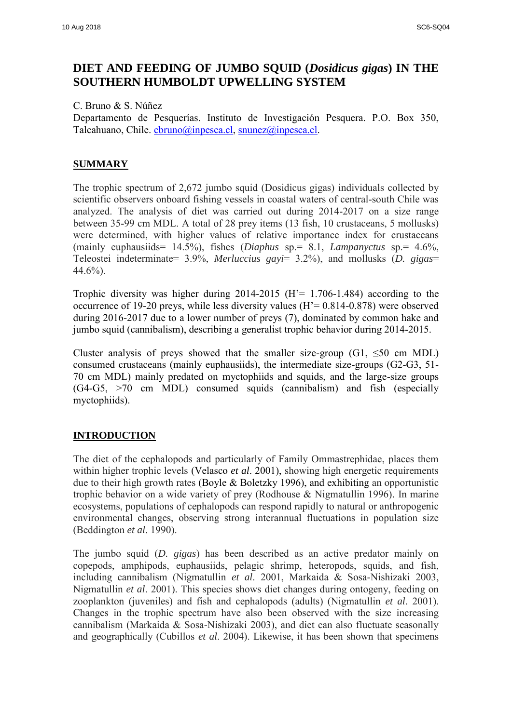## **DIET AND FEEDING OF JUMBO SQUID (***Dosidicus gigas***) IN THE SOUTHERN HUMBOLDT UPWELLING SYSTEM**

C. Bruno & S. Núñez

Departamento de Pesquerías. Instituto de Investigación Pesquera. P.O. Box 350, Talcahuano, Chile. [cbruno@inpesca.cl,](mailto:cbruno@inpesca.cl) [snunez@inpesca.cl.](mailto:snunez@inpesca.cl)

## **SUMMARY**

The trophic spectrum of 2,672 jumbo squid (Dosidicus gigas) individuals collected by scientific observers onboard fishing vessels in coastal waters of central-south Chile was analyzed. The analysis of diet was carried out during 2014-2017 on a size range between 35-99 cm MDL. A total of 28 prey items (13 fish, 10 crustaceans, 5 mollusks) were determined, with higher values of relative importance index for crustaceans (mainly euphausiids= 14.5%), fishes (*Diaphus* sp.= 8.1, *Lampanyctus* sp.= 4.6%, Teleostei indeterminate= 3.9%, *Merluccius gayi*= 3.2%), and mollusks (*D. gigas*= 44.6%).

Trophic diversity was higher during  $2014-2015$  (H<sup> $\text{--}$ </sup> 1.706-1.484) according to the occurrence of 19-20 preys, while less diversity values (H'= 0.814-0.878) were observed during 2016-2017 due to a lower number of preys (7), dominated by common hake and jumbo squid (cannibalism), describing a generalist trophic behavior during 2014-2015.

Cluster analysis of preys showed that the smaller size-group (G1,  $\leq 50$  cm MDL) consumed crustaceans (mainly euphausiids), the intermediate size-groups (G2-G3, 51- 70 cm MDL) mainly predated on myctophiids and squids, and the large-size groups (G4-G5, >70 cm MDL) consumed squids (cannibalism) and fish (especially myctophiids).

### **INTRODUCTION**

The diet of the cephalopods and particularly of Family Ommastrephidae, places them within higher trophic levels (Velasco *et al*. 2001), showing high energetic requirements due to their high growth rates (Boyle & Boletzky 1996), and exhibiting an opportunistic trophic behavior on a wide variety of prey (Rodhouse & Nigmatullin 1996). In marine ecosystems, populations of cephalopods can respond rapidly to natural or anthropogenic environmental changes, observing strong interannual fluctuations in population size (Beddington *et al*. 1990).

The jumbo squid (*D. gigas*) has been described as an active predator mainly on copepods, amphipods, euphausiids, pelagic shrimp, heteropods, squids, and fish, including cannibalism (Nigmatullin *et al*. 2001, Markaida & Sosa-Nishizaki 2003, Nigmatullin *et al*. 2001). This species shows diet changes during ontogeny, feeding on zooplankton (juveniles) and fish and cephalopods (adults) (Nigmatullin *et al*. 2001). Changes in the trophic spectrum have also been observed with the size increasing cannibalism (Markaida & Sosa-Nishizaki 2003), and diet can also fluctuate seasonally and geographically (Cubillos *et al*. 2004). Likewise, it has been shown that specimens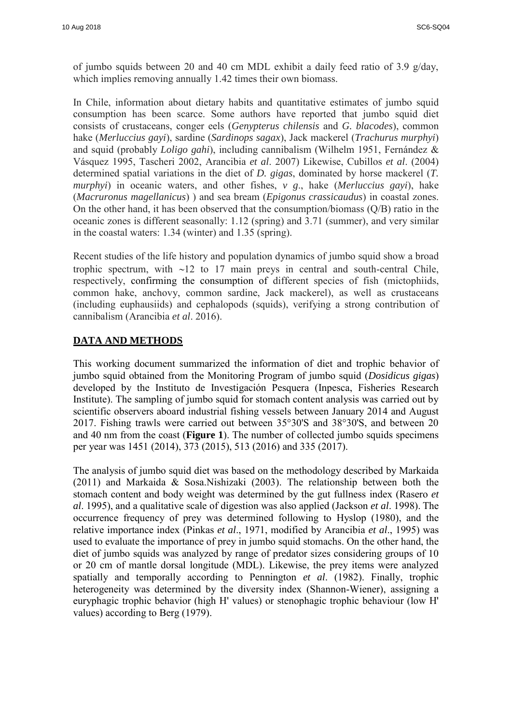of jumbo squids between 20 and 40 cm MDL exhibit a daily feed ratio of 3.9 g/day, which implies removing annually 1.42 times their own biomass.

In Chile, information about dietary habits and quantitative estimates of jumbo squid consumption has been scarce. Some authors have reported that jumbo squid diet consists of crustaceans, conger eels (*Genypterus chilensis* and *G. blacodes*), common hake (*Merluccius gayi*), sardine (*Sardinops sagax*), Jack mackerel (*Trachurus murphyi*) and squid (probably *Loligo gahi*), including cannibalism (Wilhelm 1951, Fernández & Vásquez 1995, Tascheri 2002, Arancibia *et al*. 2007) Likewise, Cubillos *et al*. (2004) determined spatial variations in the diet of *D. gigas*, dominated by horse mackerel (*T. murphyi*) in oceanic waters, and other fishes, *v g*., hake (*Merluccius gayi*), hake (*Macruronus magellanicus*) ) and sea bream (*Epigonus crassicaudus*) in coastal zones. On the other hand, it has been observed that the consumption/biomass (Q/B) ratio in the oceanic zones is different seasonally: 1.12 (spring) and 3.71 (summer), and very similar in the coastal waters: 1.34 (winter) and 1.35 (spring).

Recent studies of the life history and population dynamics of jumbo squid show a broad trophic spectrum, with  $\sim$ 12 to 17 main preys in central and south-central Chile, respectively, confirming the consumption of different species of fish (mictophiids, common hake, anchovy, common sardine, Jack mackerel), as well as crustaceans (including euphausiids) and cephalopods (squids), verifying a strong contribution of cannibalism (Arancibia *et al*. 2016).

## **DATA AND METHODS**

This working document summarized the information of diet and trophic behavior of jumbo squid obtained from the Monitoring Program of jumbo squid (*Dosidicus gigas*) developed by the Instituto de Investigación Pesquera (Inpesca, Fisheries Research Institute). The sampling of jumbo squid for stomach content analysis was carried out by scientific observers aboard industrial fishing vessels between January 2014 and August 2017. Fishing trawls were carried out between 35°30'S and 38°30'S, and between 20 and 40 nm from the coast (**Figure 1**). The number of collected jumbo squids specimens per year was 1451 (2014), 373 (2015), 513 (2016) and 335 (2017).

The analysis of jumbo squid diet was based on the methodology described by Markaida (2011) and Markaida & Sosa.Nishizaki (2003). The relationship between both the stomach content and body weight was determined by the gut fullness index (Rasero *et al*. 1995), and a qualitative scale of digestion was also applied (Jackson *et al*. 1998). The occurrence frequency of prey was determined following to Hyslop (1980), and the relative importance index (Pinkas *et al*., 1971, modified by Arancibia *et al*., 1995) was used to evaluate the importance of prey in jumbo squid stomachs. On the other hand, the diet of jumbo squids was analyzed by range of predator sizes considering groups of 10 or 20 cm of mantle dorsal longitude (MDL). Likewise, the prey items were analyzed spatially and temporally according to Pennington *et al*. (1982). Finally, trophic heterogeneity was determined by the diversity index (Shannon-Wiener), assigning a euryphagic trophic behavior (high H' values) or stenophagic trophic behaviour (low H' values) according to Berg (1979).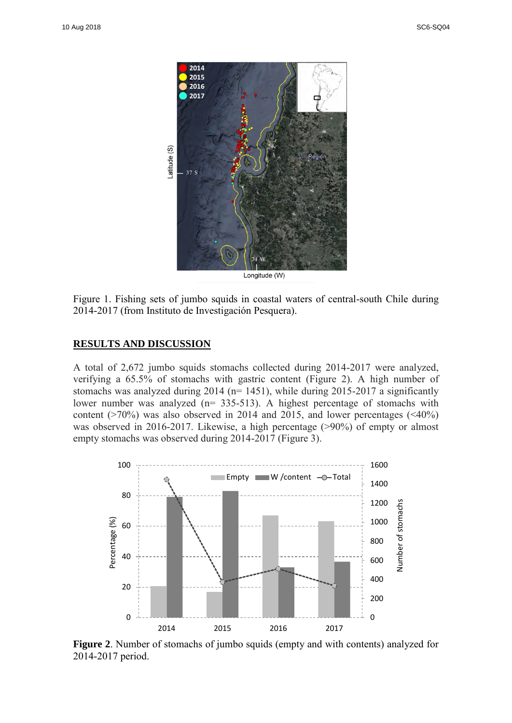

Figure 1. Fishing sets of jumbo squids in coastal waters of central-south Chile during 2014-2017 (from Instituto de Investigación Pesquera).

### **RESULTS AND DISCUSSION**

A total of 2,672 jumbo squids stomachs collected during 2014-2017 were analyzed, verifying a 65.5% of stomachs with gastric content (Figure 2). A high number of stomachs was analyzed during  $2014$  (n= 1451), while during  $2015-2017$  a significantly lower number was analyzed (n= 335-513). A highest percentage of stomachs with content ( $>70\%$ ) was also observed in 2014 and 2015, and lower percentages ( $\leq 40\%$ ) was observed in 2016-2017. Likewise, a high percentage (>90%) of empty or almost empty stomachs was observed during 2014-2017 (Figure 3).



**Figure 2**. Number of stomachs of jumbo squids (empty and with contents) analyzed for 2014-2017 period.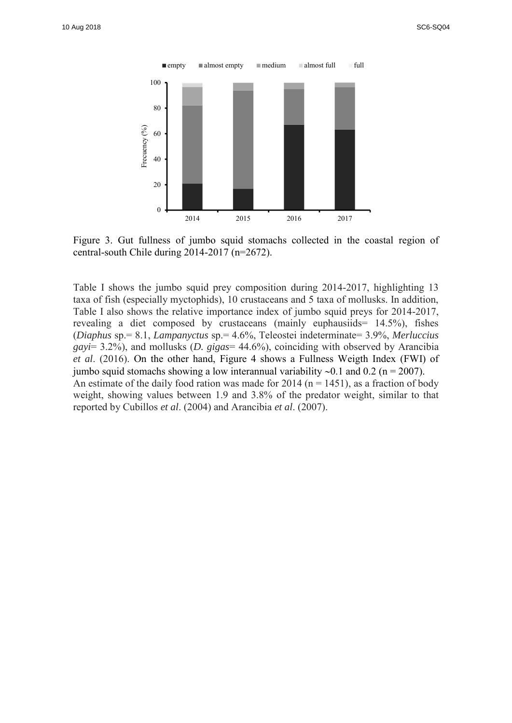

Figure 3. Gut fullness of jumbo squid stomachs collected in the coastal region of central-south Chile during 2014-2017 (n=2672).

Table I shows the jumbo squid prey composition during 2014-2017, highlighting 13 taxa of fish (especially myctophids), 10 crustaceans and 5 taxa of mollusks. In addition, Table I also shows the relative importance index of jumbo squid preys for 2014-2017, revealing a diet composed by crustaceans (mainly euphausiids= 14.5%), fishes (*Diaphus* sp.= 8.1, *Lampanyctus* sp.= 4.6%, Teleostei indeterminate= 3.9%, *Merluccius gayi*= 3.2%), and mollusks (*D. gigas*= 44.6%), coinciding with observed by Arancibia *et al*. (2016). On the other hand, Figure 4 shows a Fullness Weigth Index (FWI) of jumbo squid stomachs showing a low interannual variability  $\sim 0.1$  and 0.2 (n = 2007). An estimate of the daily food ration was made for 2014 ( $n = 1451$ ), as a fraction of body weight, showing values between 1.9 and 3.8% of the predator weight, similar to that reported by Cubillos *et al*. (2004) and Arancibia *et al*. (2007).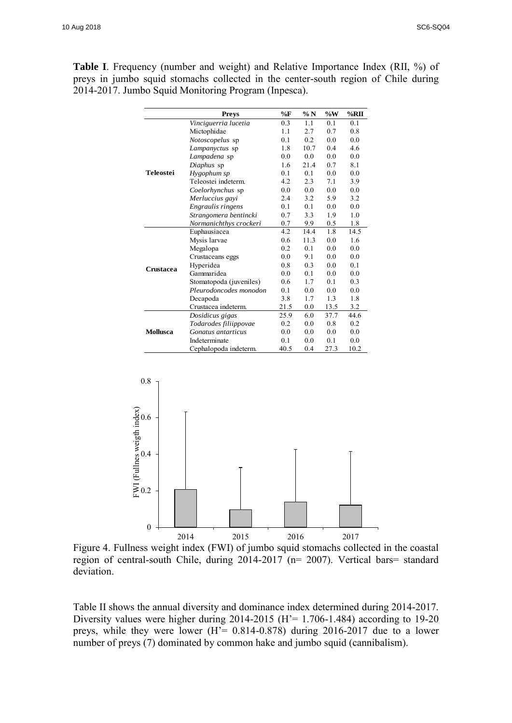**Table I**. Frequency (number and weight) and Relative Importance Index (RII, %) of preys in jumbo squid stomachs collected in the center-south region of Chile during 2014-2017. Jumbo Squid Monitoring Program (Inpesca).

|                  | <b>Prevs</b>            | $\%$ F | $\% N$ | $\%W$ | $\%$ RII |
|------------------|-------------------------|--------|--------|-------|----------|
| <b>Teleostei</b> | Vinciguerria lucetia    | 0.3    | 1.1    | 0.1   | 0.1      |
|                  | Mictophidae             | 1.1    | 2.7    | 0.7   | 0.8      |
|                  | Notoscopelus sp         | 0.1    | 0.2    | 0.0   | 0.0      |
|                  | Lampanyctus sp          | 1.8    | 10.7   | 0.4   | 4.6      |
|                  | Lampadena sp            | 0.0    | 0.0    | 0.0   | 0.0      |
|                  | Diaphus sp              | 1.6    | 21.4   | 0.7   | 8.1      |
|                  | Hygophum sp             | 0.1    | 0.1    | 0.0   | 0.0      |
|                  | Teleostei indeterm.     | 4.2    | 2.3    | 7.1   | 3.9      |
|                  | Coelorhynchus sp        | 0.0    | 0.0    | 0.0   | 0.0      |
|                  | Merluccius gayi         | 2.4    | 3.2    | 5.9   | 3.2      |
|                  | Engraulis ringens       | 0.1    | 0.1    | 0.0   | 0.0      |
|                  | Strangomera bentincki   | 0.7    | 3.3    | 1.9   | 1.0      |
|                  | Normanichthys crockeri  | 0.7    | 9.9    | 0.5   | 1.8      |
| Crustacea        | Euphausiacea            | 4.2    | 14.4   | 1.8   | 14.5     |
|                  | Mysis larvae            | 0.6    | 11.3   | 0.0   | 1.6      |
|                  | Megalopa                | 0.2    | 0.1    | 0.0   | 0.0      |
|                  | Crustaceans eggs        | 0.0    | 9.1    | 0.0   | 0.0      |
|                  | Hyperidea               | 0.8    | 0.3    | 0.0   | 0.1      |
|                  | Gammaridea              | 0.0    | 0.1    | 0.0   | 0.0      |
|                  | Stomatopoda (juveniles) | 0.6    | 1.7    | 0.1   | 0.3      |
|                  | Pleurodoncodes monodon  | 0.1    | 0.0    | 0.0   | 0.0      |
|                  | Decapoda                | 3.8    | 1.7    | 1.3   | 1.8      |
|                  | Crustacea indeterm.     | 21.5   | 0.0    | 13.5  | 3.2      |
| <b>Mollusca</b>  | Dosidicus gigas         | 25.9   | 6.0    | 37.7  | 44.6     |
|                  | Todarodes filiippovae   | 0.2    | 0.0    | 0.8   | 0.2      |
|                  | Gonatus antarticus      | 0.0    | 0.0    | 0.0   | 0.0      |
|                  | Indeterminate           | 0.1    | 0.0    | 0.1   | 0.0      |
|                  | Cephalopoda indeterm.   | 40.5   | 0.4    | 27.3  | 10.2     |



region of central-south Chile, during 2014-2017 (n= 2007). Vertical bars= standard deviation.

Table II shows the annual diversity and dominance index determined during 2014-2017. Diversity values were higher during  $2014-2015$  (H<sup> $\approx$ </sup> 1.706-1.484) according to 19-20 preys, while they were lower (H'= 0.814-0.878) during 2016-2017 due to a lower number of preys (7) dominated by common hake and jumbo squid (cannibalism).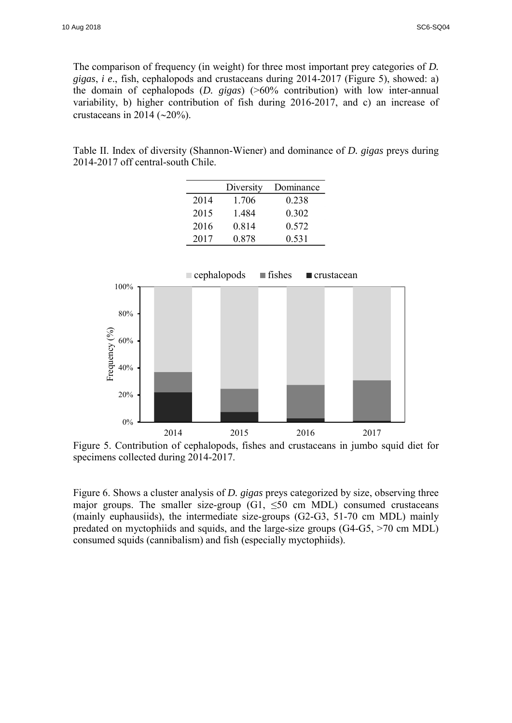The comparison of frequency (in weight) for three most important prey categories of *D. gigas*, *i e*., fish, cephalopods and crustaceans during 2014-2017 (Figure 5), showed: a) the domain of cephalopods (*D. gigas*) (>60% contribution) with low inter-annual variability, b) higher contribution of fish during 2016-2017, and c) an increase of crustaceans in 2014 ( $\sim$ 20%).

Table II. Index of diversity (Shannon-Wiener) and dominance of *D. gigas* preys during 2014-2017 off central-south Chile.

|      | Diversity | Dominance |
|------|-----------|-----------|
| 2014 | 1.706     | 0.238     |
| 2015 | 1.484     | 0.302     |
| 2016 | 0.814     | 0.572     |
| 2017 | 0.878     | 0.531     |



Figure 5. Contribution of cephalopods, fishes and crustaceans in jumbo squid diet for specimens collected during 2014-2017.

Figure 6. Shows a cluster analysis of *D. gigas* preys categorized by size, observing three major groups. The smaller size-group (G1,  $\leq 50$  cm MDL) consumed crustaceans (mainly euphausiids), the intermediate size-groups (G2-G3, 51-70 cm MDL) mainly predated on myctophiids and squids, and the large-size groups (G4-G5, >70 cm MDL) consumed squids (cannibalism) and fish (especially myctophiids).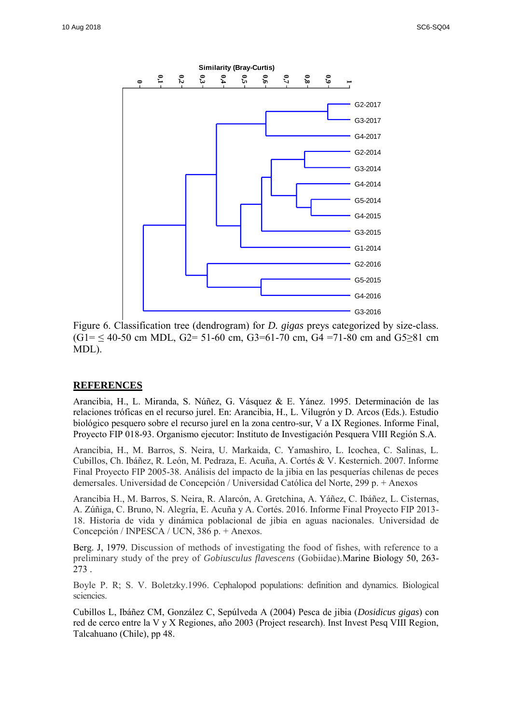

Figure 6. Classification tree (dendrogram) for *D. gigas* preys categorized by size-class.  $(G1 = 540-50$  cm MDL,  $G2 = 51-60$  cm,  $G3=61-70$  cm,  $G4 = 71-80$  cm and  $G5\geq 81$  cm MDL).

### **REFERENCES**

Arancibia, H., L. Miranda, S. Núñez, G. Vásquez & E. Yánez. 1995. Determinación de las relaciones tróficas en el recurso jurel. En: Arancibia, H., L. Vilugrón y D. Arcos (Eds.). Estudio biológico pesquero sobre el recurso jurel en la zona centro-sur, V a IX Regiones. Informe Final, Proyecto FIP 018-93. Organismo ejecutor: Instituto de Investigación Pesquera VIII Región S.A.

Arancibia, H., M. Barros, S. Neira, U. Markaida, C. Yamashiro, L. Icochea, C. Salinas, L. Cubillos, Ch. Ibáñez, R. León, M. Pedraza, E. Acuña, A. Cortés & V. Kesternich. 2007. Informe Final Proyecto FIP 2005-38. Análisis del impacto de la jibia en las pesquerías chilenas de peces demersales. Universidad de Concepción / Universidad Católica del Norte, 299 p. + Anexos

Arancibia H., M. Barros, S. Neira, R. Alarcón, A. Gretchina, A. Yáñez, C. Ibáñez, L. Cisternas, A. Zúñiga, C. Bruno, N. Alegría, E. Acuña y A. Cortés. 2016. Informe Final Proyecto FIP 2013- 18. Historia de vida y dinámica poblacional de jibia en aguas nacionales. Universidad de Concepción / INPESCA / UCN, 386 p. + Anexos.

Berg. J, 1979. Discussion of methods of investigating the food of fishes, with reference to a preliminary study of the prey of *Gobiusculus flavescens* (Gobiidae).Marine Biology 50, 263- 273 .

Boyle P. R; S. V. Boletzky.1996. Cephalopod populations: definition and dynamics. Biological sciencies.

Cubillos L, Ibáñez CM, González C, Sepúlveda A (2004) Pesca de jibia (*Dosidicus gigas*) con red de cerco entre la V y X Regiones, año 2003 (Project research). Inst Invest Pesq VIII Region, Talcahuano (Chile), pp 48.